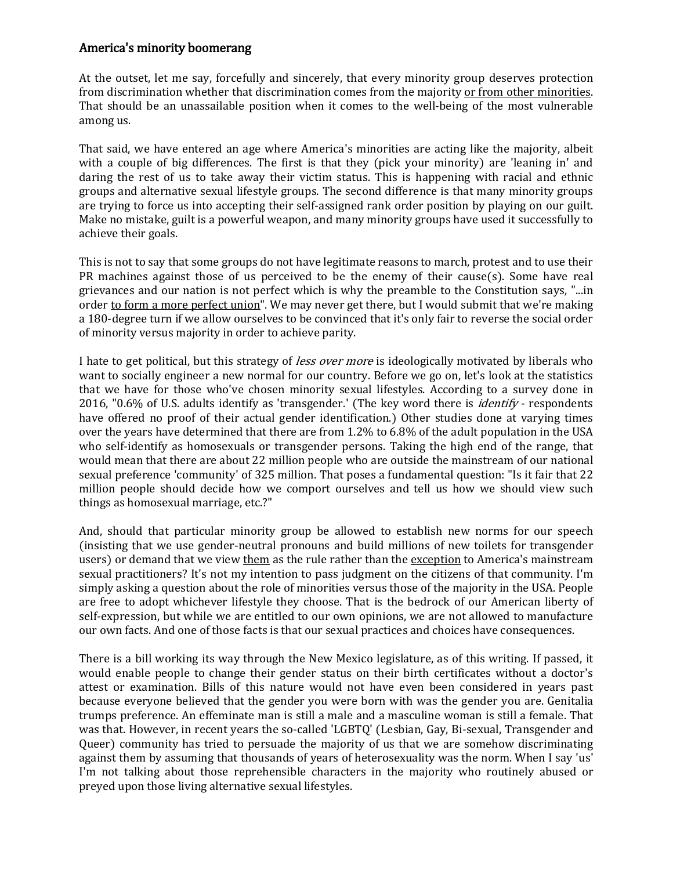## America's minority boomerang

At the outset, let me say, forcefully and sincerely, that every minority group deserves protection from discrimination whether that discrimination comes from the majority or from other minorities. That should be an unassailable position when it comes to the well-being of the most vulnerable among us.

That said, we have entered an age where America's minorities are acting like the majority, albeit with a couple of big differences. The first is that they (pick your minority) are 'leaning in' and daring the rest of us to take away their victim status. This is happening with racial and ethnic groups and alternative sexual lifestyle groups. The second difference is that many minority groups are trying to force us into accepting their self-assigned rank order position by playing on our guilt. Make no mistake, guilt is a powerful weapon, and many minority groups have used it successfully to achieve their goals.

This is not to say that some groups do not have legitimate reasons to march, protest and to use their PR machines against those of us perceived to be the enemy of their cause(s). Some have real grievances and our nation is not perfect which is why the preamble to the Constitution says, "...in order to form a more perfect union". We may never get there, but I would submit that we're making a 180-degree turn if we allow ourselves to be convinced that it's only fair to reverse the social order of minority versus majority in order to achieve parity.

I hate to get political, but this strategy of *less over more* is ideologically motivated by liberals who want to socially engineer a new normal for our country. Before we go on, let's look at the statistics that we have for those who've chosen minority sexual lifestyles. According to a survey done in 2016, "0.6% of U.S. adults identify as 'transgender.' (The key word there is *identify* - respondents have offered no proof of their actual gender identification.) Other studies done at varying times over the years have determined that there are from 1.2% to 6.8% of the adult population in the USA who self-identify as homosexuals or transgender persons. Taking the high end of the range, that would mean that there are about 22 million people who are outside the mainstream of our national sexual preference 'community' of 325 million. That poses a fundamental question: "Is it fair that 22 million people should decide how we comport ourselves and tell us how we should view such things as homosexual marriage, etc.?"

And, should that particular minority group be allowed to establish new norms for our speech (insisting that we use gender-neutral pronouns and build millions of new toilets for transgender users) or demand that we view them as the rule rather than the exception to America's mainstream sexual practitioners? It's not my intention to pass judgment on the citizens of that community. I'm simply asking a question about the role of minorities versus those of the majority in the USA. People are free to adopt whichever lifestyle they choose. That is the bedrock of our American liberty of self-expression, but while we are entitled to our own opinions, we are not allowed to manufacture our own facts. And one of those facts is that our sexual practices and choices have consequences.

There is a bill working its way through the New Mexico legislature, as of this writing. If passed, it would enable people to change their gender status on their birth certificates without a doctor's attest or examination. Bills of this nature would not have even been considered in years past because everyone believed that the gender you were born with was the gender you are. Genitalia trumps preference. An effeminate man is still a male and a masculine woman is still a female. That was that. However, in recent years the so-called 'LGBTQ' (Lesbian, Gay, Bi-sexual, Transgender and Queer) community has tried to persuade the majority of us that we are somehow discriminating against them by assuming that thousands of years of heterosexuality was the norm. When I say 'us' I'm not talking about those reprehensible characters in the majority who routinely abused or preyed upon those living alternative sexual lifestyles.